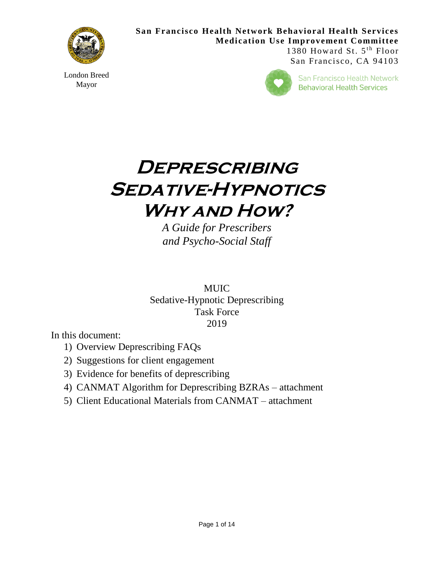

London Breed Mayor

**San Francisco Health Network Behavioral Health Services Medication Use Improvement Committee** 1380 Howard St. 5<sup>th</sup> Floor San Francisco, CA 94103



San Francisco Health Network **Behavioral Health Services** 

# **Deprescribing Sedative-Hypnotics Why and How?**

*A Guide for Prescribers and Psycho-Social Staff*

MUIC Sedative-Hypnotic Deprescribing Task Force 2019

In this document:

- 1) Overview Deprescribing FAQs
- 2) Suggestions for client engagement
- 3) Evidence for benefits of deprescribing
- 4) CANMAT Algorithm for Deprescribing BZRAs attachment
- 5) Client Educational Materials from CANMAT attachment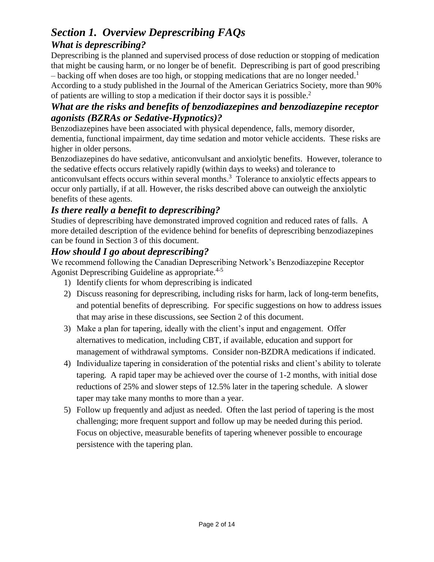# *Section 1. Overview Deprescribing FAQs What is deprescribing?*

Deprescribing is the planned and supervised process of dose reduction or stopping of medication that might be causing harm, or no longer be of benefit. Deprescribing is part of good prescribing – backing off when doses are too high, or stopping medications that are no longer needed.<sup>1</sup>

According to a study published in the Journal of the American Geriatrics Society, more than 90% of patients are willing to stop a medication if their doctor says it is possible. 2

# *What are the risks and benefits of benzodiazepines and benzodiazepine receptor agonists (BZRAs or Sedative-Hypnotics)?*

Benzodiazepines have been associated with physical dependence, falls, memory disorder, dementia, functional impairment, day time sedation and motor vehicle accidents. These risks are higher in older persons.

Benzodiazepines do have sedative, anticonvulsant and anxiolytic benefits. However, tolerance to the sedative effects occurs relatively rapidly (within days to weeks) and tolerance to anticonvulsant effects occurs within several months. $3$  Tolerance to anxiolytic effects appears to occur only partially, if at all. However, the risks described above can outweigh the anxiolytic benefits of these agents.

# *Is there really a benefit to deprescribing?*

Studies of deprescribing have demonstrated improved cognition and reduced rates of falls. A more detailed description of the evidence behind for benefits of deprescribing benzodiazepines can be found in Section 3 of this document.

# *How should I go about deprescribing?*

We recommend following the Canadian Deprescribing Network's Benzodiazepine Receptor Agonist Deprescribing Guideline as appropriate.<sup>4-5</sup>

- 1) Identify clients for whom deprescribing is indicated
- 2) Discuss reasoning for deprescribing, including risks for harm, lack of long-term benefits, and potential benefits of deprescribing. For specific suggestions on how to address issues that may arise in these discussions, see Section 2 of this document.
- 3) Make a plan for tapering, ideally with the client's input and engagement. Offer alternatives to medication, including CBT, if available, education and support for management of withdrawal symptoms. Consider non-BZDRA medications if indicated.
- 4) Individualize tapering in consideration of the potential risks and client's ability to tolerate tapering. A rapid taper may be achieved over the course of 1-2 months, with initial dose reductions of 25% and slower steps of 12.5% later in the tapering schedule. A slower taper may take many months to more than a year.
- 5) Follow up frequently and adjust as needed. Often the last period of tapering is the most challenging; more frequent support and follow up may be needed during this period. Focus on objective, measurable benefits of tapering whenever possible to encourage persistence with the tapering plan.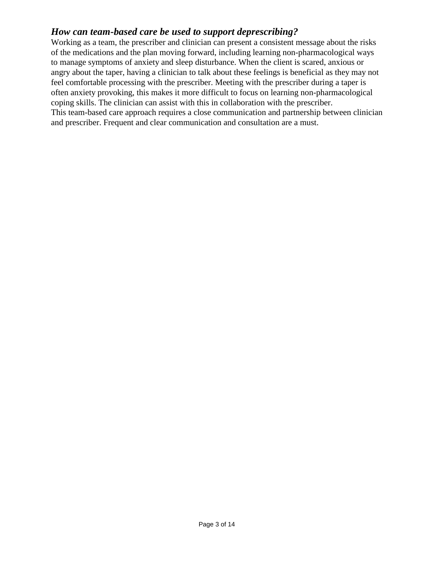# *How can team-based care be used to support deprescribing?*

Working as a team, the prescriber and clinician can present a consistent message about the risks of the medications and the plan moving forward, including learning non-pharmacological ways to manage symptoms of anxiety and sleep disturbance. When the client is scared, anxious or angry about the taper, having a clinician to talk about these feelings is beneficial as they may not feel comfortable processing with the prescriber. Meeting with the prescriber during a taper is often anxiety provoking, this makes it more difficult to focus on learning non-pharmacological coping skills. The clinician can assist with this in collaboration with the prescriber. This team-based care approach requires a close communication and partnership between clinician and prescriber. Frequent and clear communication and consultation are a must.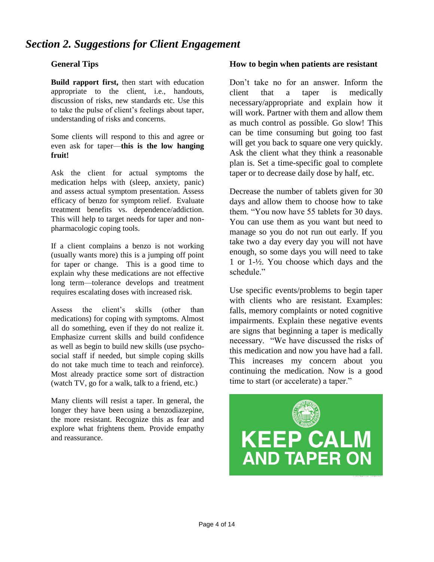# *Section 2. Suggestions for Client Engagement*

## **General Tips**

**Build rapport first,** then start with education appropriate to the client, i.e., handouts, discussion of risks, new standards etc. Use this to take the pulse of client's feelings about taper, understanding of risks and concerns.

Some clients will respond to this and agree or even ask for taper—**this is the low hanging fruit!**

Ask the client for actual symptoms the medication helps with (sleep, anxiety, panic) and assess actual symptom presentation. Assess efficacy of benzo for symptom relief. Evaluate treatment benefits vs. dependence/addiction. This will help to target needs for taper and nonpharmacologic coping tools.

If a client complains a benzo is not working (usually wants more) this is a jumping off point for taper or change. This is a good time to explain why these medications are not effective long term—tolerance develops and treatment requires escalating doses with increased risk.

Assess the client's skills (other than medications) for coping with symptoms. Almost all do something, even if they do not realize it. Emphasize current skills and build confidence as well as begin to build new skills (use psychosocial staff if needed, but simple coping skills do not take much time to teach and reinforce). Most already practice some sort of distraction (watch TV, go for a walk, talk to a friend, etc.)

Many clients will resist a taper. In general, the longer they have been using a benzodiazepine, the more resistant. Recognize this as fear and explore what frightens them. Provide empathy and reassurance.

## **How to begin when patients are resistant**

Don't take no for an answer. Inform the client that a taper is medically necessary/appropriate and explain how it will work. Partner with them and allow them as much control as possible. Go slow! This can be time consuming but going too fast will get you back to square one very quickly. Ask the client what they think a reasonable plan is. Set a time-specific goal to complete taper or to decrease daily dose by half, etc.

Decrease the number of tablets given for 30 days and allow them to choose how to take them. "You now have 55 tablets for 30 days. You can use them as you want but need to manage so you do not run out early. If you take two a day every day you will not have enough, so some days you will need to take 1 or 1-½. You choose which days and the schedule<sup>"</sup>

Use specific events/problems to begin taper with clients who are resistant. Examples: falls, memory complaints or noted cognitive impairments. Explain these negative events are signs that beginning a taper is medically necessary. "We have discussed the risks of this medication and now you have had a fall. This increases my concern about you continuing the medication. Now is a good time to start (or accelerate) a taper."

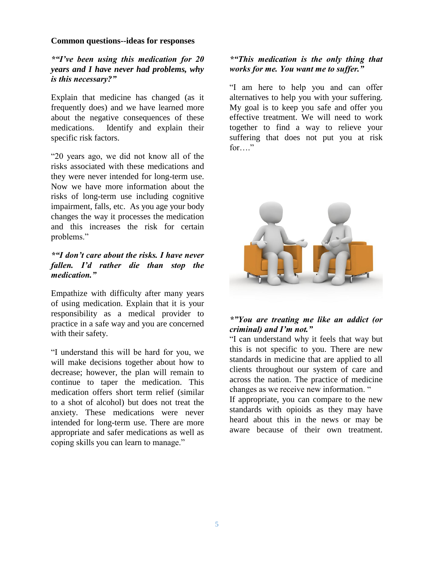#### **Common questions--ideas for responses**

## *\*"I've been using this medication for 20 years and I have never had problems, why is this necessary?"*

Explain that medicine has changed (as it frequently does) and we have learned more about the negative consequences of these medications. Identify and explain their specific risk factors.

"20 years ago, we did not know all of the risks associated with these medications and they were never intended for long-term use. Now we have more information about the risks of long-term use including cognitive impairment, falls, etc. As you age your body changes the way it processes the medication and this increases the risk for certain problems."

## *\*"I don't care about the risks. I have never fallen. I'd rather die than stop the medication."*

Empathize with difficulty after many years of using medication. Explain that it is your responsibility as a medical provider to practice in a safe way and you are concerned with their safety.

"I understand this will be hard for you, we will make decisions together about how to decrease; however, the plan will remain to continue to taper the medication. This medication offers short term relief (similar to a shot of alcohol) but does not treat the anxiety. These medications were never intended for long-term use. There are more appropriate and safer medications as well as coping skills you can learn to manage."

## *\*"This medication is the only thing that works for me. You want me to suffer."*

"I am here to help you and can offer alternatives to help you with your suffering. My goal is to keep you safe and offer you effective treatment. We will need to work together to find a way to relieve your suffering that does not put you at risk for…"



## *\*"You are treating me like an addict (or criminal) and I'm not."*

"I can understand why it feels that way but this is not specific to you. There are new standards in medicine that are applied to all clients throughout our system of care and across the nation. The practice of medicine changes as we receive new information. "

If appropriate, you can compare to the new standards with opioids as they may have heard about this in the news or may be aware because of their own treatment.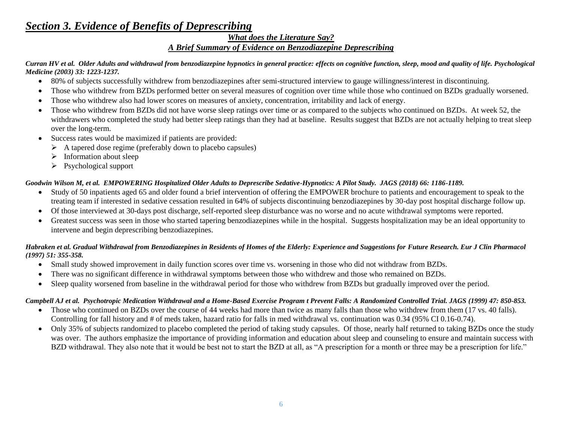# *Section 3. Evidence of Benefits of Deprescribing*

## *What does the Literature Say? A Brief Summary of Evidence on Benzodiazepine Deprescribing*

#### *Curran HV et al. Older Adults and withdrawal from benzodiazepine hypnotics in general practice: effects on cognitive function, sleep, mood and quality of life. Psychological Medicine (2003) 33: 1223-1237.*

- 80% of subjects successfully withdrew from benzodiazepines after semi-structured interview to gauge willingness/interest in discontinuing.
- Those who withdrew from BZDs performed better on several measures of cognition over time while those who continued on BZDs gradually worsened.
- Those who withdrew also had lower scores on measures of anxiety, concentration, irritability and lack of energy.
- Those who withdrew from BZDs did not have worse sleep ratings over time or as compared to the subjects who continued on BZDs. At week 52, the withdrawers who completed the study had better sleep ratings than they had at baseline. Results suggest that BZDs are not actually helping to treat sleep over the long-term.
- Success rates would be maximized if patients are provided:
	- $\triangleright$  A tapered dose regime (preferably down to placebo capsules)
	- $\triangleright$  Information about sleep
	- $\triangleright$  Psychological support

## *Goodwin Wilson M, et al. EMPOWERING Hospitalized Older Adults to Deprescribe Sedative-Hypnotics: A Pilot Study. JAGS (2018) 66: 1186-1189.*

- Study of 50 inpatients aged 65 and older found a brief intervention of offering the EMPOWER brochure to patients and encouragement to speak to the treating team if interested in sedative cessation resulted in 64% of subjects discontinuing benzodiazepines by 30-day post hospital discharge follow up.
- Of those interviewed at 30-days post discharge, self-reported sleep disturbance was no worse and no acute withdrawal symptoms were reported.
- Greatest success was seen in those who started tapering benzodiazepines while in the hospital. Suggests hospitalization may be an ideal opportunity to intervene and begin deprescribing benzodiazepines.

#### *Habraken et al. Gradual Withdrawal from Benzodiazepines in Residents of Homes of the Elderly: Experience and Suggestions for Future Research. Eur J Clin Pharmacol (1997) 51: 355-358.*

- Small study showed improvement in daily function scores over time vs. worsening in those who did not withdraw from BZDs.
- There was no significant difference in withdrawal symptoms between those who withdrew and those who remained on BZDs.
- Sleep quality worsened from baseline in the withdrawal period for those who withdrew from BZDs but gradually improved over the period.

## *Campbell AJ et al. Psychotropic Medication Withdrawal and a Home-Based Exercise Program t Prevent Falls: A Randomized Controlled Trial. JAGS (1999) 47: 850-853.*

- Those who continued on BZDs over the course of 44 weeks had more than twice as many falls than those who withdrew from them (17 vs. 40 falls). Controlling for fall history and # of meds taken, hazard ratio for falls in med withdrawal vs. continuation was 0.34 (95% CI 0.16-0.74).
- Only 35% of subjects randomized to placebo completed the period of taking study capsules. Of those, nearly half returned to taking BZDs once the study was over. The authors emphasize the importance of providing information and education about sleep and counseling to ensure and maintain success with BZD withdrawal. They also note that it would be best not to start the BZD at all, as "A prescription for a month or three may be a prescription for life."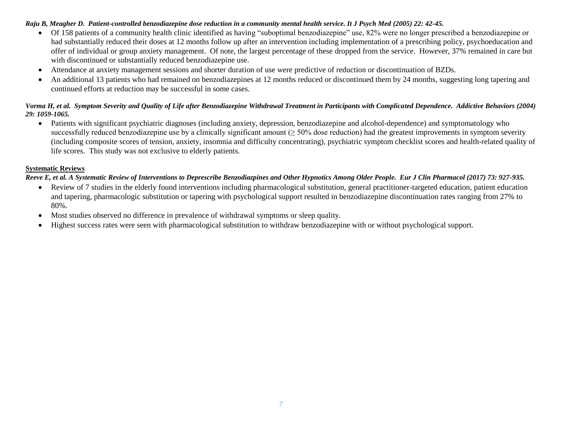#### *Raju B, Meagher D. Patient-controlled benzodiazepine dose reduction in a community mental health service. It J Psych Med (2005) 22: 42-45.*

- Of 158 patients of a community health clinic identified as having "suboptimal benzodiazepine" use, 82% were no longer prescribed a benzodiazepine or had substantially reduced their doses at 12 months follow up after an intervention including implementation of a prescribing policy, psychoeducation and offer of individual or group anxiety management. Of note, the largest percentage of these dropped from the service. However, 37% remained in care but with discontinued or substantially reduced benzodiazepine use.
- Attendance at anxiety management sessions and shorter duration of use were predictive of reduction or discontinuation of BZDs.
- An additional 13 patients who had remained on benzodiazepines at 12 months reduced or discontinued them by 24 months, suggesting long tapering and continued efforts at reduction may be successful in some cases.

#### *Vorma H, et al. Symptom Severity and Quality of Life after Benzodiazepine Withdrawal Treatment in Participants with Complicated Dependence. Addictive Behaviors (2004) 29: 1059-1065.*

 Patients with significant psychiatric diagnoses (including anxiety, depression, benzodiazepine and alcohol-dependence) and symptomatology who successfully reduced benzodiazepine use by a clinically significant amount  $(≥ 50%$  dose reduction) had the greatest improvements in symptom severity (including composite scores of tension, anxiety, insomnia and difficulty concentrating), psychiatric symptom checklist scores and health-related quality of life scores. This study was not exclusive to elderly patients.

#### **Systematic Reviews**

#### *Reeve E, et al. A Systematic Review of Interventions to Deprescribe Benzodiazpines and Other Hypnotics Among Older People. Eur J Clin Pharmacol (2017) 73: 927-935.*

- Review of 7 studies in the elderly found interventions including pharmacological substitution, general practitioner-targeted education, patient education and tapering, pharmacologic substitution or tapering with psychological support resulted in benzodiazepine discontinuation rates ranging from 27% to 80%.
- Most studies observed no difference in prevalence of withdrawal symptoms or sleep quality.
- Highest success rates were seen with pharmacological substitution to withdraw benzodiazepine with or without psychological support.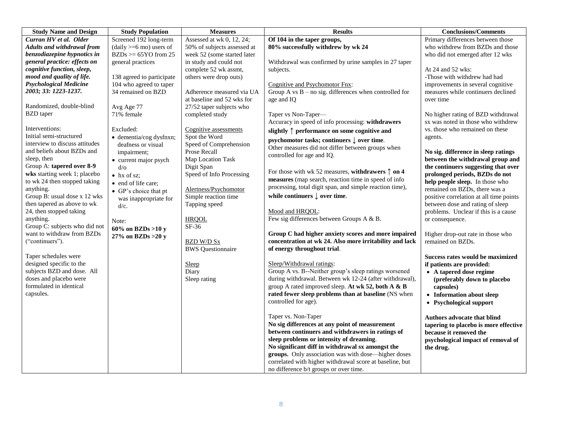| <b>Study Name and Design</b>      | <b>Study Population</b>            | <b>Measures</b>             | <b>Results</b>                                             | <b>Conclusions/Comments</b>             |
|-----------------------------------|------------------------------------|-----------------------------|------------------------------------------------------------|-----------------------------------------|
| Curran HV et al. Older            | Screened 192 long-term             | Assessed at wk 0, 12, 24;   | Of 104 in the taper groups,                                | Primary differences between those       |
| <b>Adults and withdrawal from</b> | $(daily >= 6 \text{ mo})$ users of | 50% of subjects assessed at | 80% successfully withdrew by wk 24                         | who withdrew from BZDs and those        |
| benzodiazepine hypnotics in       | $BZDs \geq 65YO$ from 25           | week 52 (some started later |                                                            | who did not emerged after 12 wks        |
| general practice: effects on      | general practices                  | in study and could not      | Withdrawal was confirmed by urine samples in 27 taper      |                                         |
| cognitive function, sleep,        |                                    | complete 52 wk assmt,       | subjects.                                                  | At 24 and 52 wks:                       |
| mood and quality of life.         | 138 agreed to participate          | others were drop outs)      |                                                            | -Those with withdrew had had            |
| <b>Psychological Medicine</b>     | 104 who agreed to taper            |                             | Cognitive and Psychomotor Fnx:                             | improvements in several cognitive       |
| 2003; 33: 1223-1237.              | 34 remained on BZD                 | Adherence measured via UA   | Group A vs $B$ – no sig. differences when controlled for   | measures while continuers declined      |
|                                   |                                    | at baseline and 52 wks for  | age and IQ                                                 | over time                               |
| Randomized, double-blind          | Avg Age 77                         | 27/52 taper subjects who    |                                                            |                                         |
| <b>BZD</b> taper                  | 71% female                         | completed study             | Taper vs Non-Taper-                                        | No higher rating of BZD withdrawal      |
|                                   |                                    |                             | Accuracy in speed of info processing: withdrawers          | sx was noted in those who withdrew      |
| Interventions:                    | Excluded:                          | Cognitive assessments       | slightly $\uparrow$ performance on some cognitive and      | vs. those who remained on these         |
| Initial semi-structured           | $\bullet$ dementia/cog dysfnxn;    | Spot the Word               | psychomotor tasks; continuers $\downarrow$ over time.      | agents.                                 |
| interview to discuss attitudes    | deafness or visual                 | Speed of Comprehension      | Other measures did not differ between groups when          |                                         |
| and beliefs about BZDs and        | impairment;                        | Prose Recall                | controlled for age and IQ.                                 | No sig. difference in sleep ratings     |
| sleep, then                       | • current major psych              | Map Location Task           |                                                            | between the withdrawal group and        |
| Group A: tapered over 8-9         | $d$ /0                             | Digit Span                  |                                                            | the continuers suggesting that over     |
| wks starting week 1; placebo      | $\bullet$ hx of sz;                | Speed of Info Processing    | For those with wk 52 measures, withdrawers $\uparrow$ on 4 | prolonged periods, BZDs do not          |
| to wk 24 then stopped taking      | • end of life care;                |                             | measures (map search, reaction time in speed of info       | help people sleep. In those who         |
| anything.                         | • GP's choice that pt              | Alertness/Psychomotor       | processing, total digit span, and simple reaction time),   | remained on BZDs, there was a           |
| Group B: usual dose x 12 wks      | was inappropriate for              | Simple reaction time        | while continuers $\downarrow$ over time.                   | positive correlation at all time points |
| then tapered as above to wk       | $d/c$ .                            | Tapping speed               |                                                            | between dose and rating of sleep        |
| 24, then stopped taking           |                                    |                             | Mood and HRQOL:                                            | problems. Unclear if this is a cause    |
| anything.                         | Note:                              | <b>HRQOL</b>                | Few sig differences between Groups A & B.                  | or consequence.                         |
| Group C: subjects who did not     | 60% on BZDs >10 y                  | SF-36                       |                                                            |                                         |
| want to withdraw from BZDs        | 27% on BZDs > 20 y                 |                             | Group C had higher anxiety scores and more impaired        | Higher drop-out rate in those who       |
| ("continuers").                   |                                    | <b>BZD W/D Sx</b>           | concentration at wk 24. Also more irritability and lack    | remained on BZDs.                       |
|                                   |                                    | <b>BWS</b> Questionnaire    | of energy throughout trial.                                |                                         |
| Taper schedules were              |                                    |                             |                                                            | Success rates would be maximized        |
| designed specific to the          |                                    | Sleep                       | Sleep/Withdrawal ratings:                                  | if patients are provided:               |
| subjects BZD and dose. All        |                                    | Diary                       | Group A vs. B--Neither group's sleep ratings worsened      | • A tapered dose regime                 |
| doses and placebo were            |                                    | Sleep rating                | during withdrawal. Between wk 12-24 (after withdrawal),    | (preferably down to placebo             |
| formulated in identical           |                                    |                             | group A rated improved sleep. At wk 52, both A & B         | capsules)                               |
| capsules.                         |                                    |                             | rated fewer sleep problems than at baseline (NS when       | • Information about sleep               |
|                                   |                                    |                             | controlled for age).                                       | • Psychological support                 |
|                                   |                                    |                             |                                                            |                                         |
|                                   |                                    |                             | Taper vs. Non-Taper                                        | Authors advocate that blind             |
|                                   |                                    |                             | No sig differences at any point of measurement             | tapering to placebo is more effective   |
|                                   |                                    |                             | between continuers and withdrawers in ratings of           | because it removed the                  |
|                                   |                                    |                             | sleep problems or intensity of dreaming.                   | psychological impact of removal of      |
|                                   |                                    |                             | No significant diff in withdrawal sx amongst the           | the drug.                               |
|                                   |                                    |                             | groups. Only association was with dose-higher doses        |                                         |
|                                   |                                    |                             | correlated with higher withdrawal score at baseline, but   |                                         |
|                                   |                                    |                             | no difference b/t groups or over time.                     |                                         |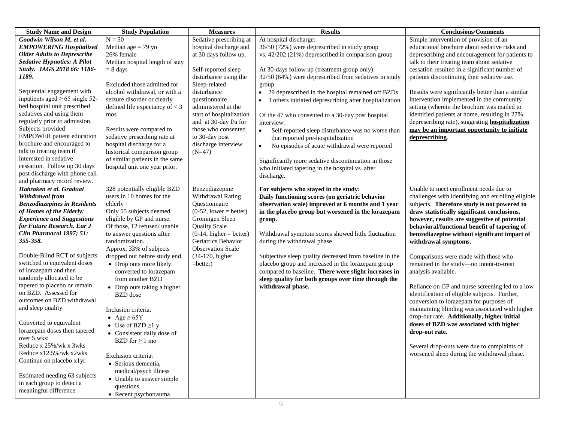| <b>Study Name and Design</b>                                                                                                                                                                                                                                                                                                                                                                                                                                                                                                                                                                                                                                                                                | <b>Study Population</b>                                                                                                                                                                                                                                                                                                                                                                                                                                                                                                                                                                                                                                                  | <b>Measures</b>                                                                                                                                                                                                                                                                                                                     | <b>Results</b>                                                                                                                                                                                                                                                                                                                                                                                                                                                                                                                                                                                                                                                                                                                                           | <b>Conclusions/Comments</b>                                                                                                                                                                                                                                                                                                                                                                                                                                                                                                                                                                                                                                                                                                                                                                                                                                                               |
|-------------------------------------------------------------------------------------------------------------------------------------------------------------------------------------------------------------------------------------------------------------------------------------------------------------------------------------------------------------------------------------------------------------------------------------------------------------------------------------------------------------------------------------------------------------------------------------------------------------------------------------------------------------------------------------------------------------|--------------------------------------------------------------------------------------------------------------------------------------------------------------------------------------------------------------------------------------------------------------------------------------------------------------------------------------------------------------------------------------------------------------------------------------------------------------------------------------------------------------------------------------------------------------------------------------------------------------------------------------------------------------------------|-------------------------------------------------------------------------------------------------------------------------------------------------------------------------------------------------------------------------------------------------------------------------------------------------------------------------------------|----------------------------------------------------------------------------------------------------------------------------------------------------------------------------------------------------------------------------------------------------------------------------------------------------------------------------------------------------------------------------------------------------------------------------------------------------------------------------------------------------------------------------------------------------------------------------------------------------------------------------------------------------------------------------------------------------------------------------------------------------------|-------------------------------------------------------------------------------------------------------------------------------------------------------------------------------------------------------------------------------------------------------------------------------------------------------------------------------------------------------------------------------------------------------------------------------------------------------------------------------------------------------------------------------------------------------------------------------------------------------------------------------------------------------------------------------------------------------------------------------------------------------------------------------------------------------------------------------------------------------------------------------------------|
| Goodwin Wilson M, et al.<br><b>EMPOWERING Hospitalized</b><br><b>Older Adults to Deprescribe</b><br><b>Sedative Hypnotics: A Pilot</b><br>Study. JAGS 2018 66: 1186-<br>1189.<br>Sequential engagement with<br>inpatients aged $\geq$ 65 single 52-<br>bed hospital unit prescribed<br>sedatives and using them<br>regularly prior to admission.<br>Subjects provided<br><b>EMPOWER</b> patient education<br>brochure and encouraged to<br>talk to treating team if<br>interested in sedative<br>cessation. Follow up 30 days<br>post discharge with phone call<br>and pharmacy record review.                                                                                                              | $N = 50$<br>Median age $= 79$ yo<br>26% female<br>Median hospital length of stay<br>$= 8 \text{ days}$<br>Excluded those admitted for<br>alcohol withdrawal, or with a<br>seizure disorder or clearly<br>defined life expectancy of $<$ 3<br>mos<br>Results were compared to<br>sedative prescribing rate at<br>hospital discharge for a<br>historical comparison group<br>of similar patients in the same<br>hospital unit one year prior.                                                                                                                                                                                                                              | Sedative prescribing at<br>hospital discharge and<br>at 30 days follow up.<br>Self-reported sleep<br>disturbance using the<br>Sleep-related<br>disturbance<br>questionnaire<br>administered at the<br>start of hospitalization<br>and at 30-day f/u for<br>those who consented<br>to 30-day post<br>discharge interview<br>$(N=47)$ | At hospital discharge:<br>36/50 (72%) were deprescribed in study group<br>vs. 42/202 (21%) deprescribed in comparison group<br>At 30-days follow up (treatment group only):<br>32/50 (64%) were deprescribed from sedatives in study<br>group<br>$\bullet$<br>29 deprescribed in the hospital remained off BZDs<br>3 others initiated deprescribing after hospitalization<br>$\bullet$<br>Of the 47 who consented to a 30-day post hospital<br>interview:<br>$\bullet$<br>Self-reported sleep disturbance was no worse than<br>that reported pre-hospitalization<br>No episodes of acute withdrawal were reported<br>$\bullet$<br>Significantly more sedative discontinuation in those<br>who initiated tapering in the hospital vs. after<br>discharge. | Simple intervention of provision of an<br>educational brochure about sedative risks and<br>deprescribing and encouragement for patients to<br>talk to their treating team about sedative<br>cessation resulted in a significant number of<br>patients discontinuing their sedative use.<br>Results were significantly better than a similar<br>intervention implemented in the community<br>setting (wherein the brochure was mailed to<br>identified patients at home, resulting in 27%<br>deprescribing rate), suggesting <b>hospitalization</b><br>may be an important opportunity to initiate<br>deprescribing.                                                                                                                                                                                                                                                                       |
| Habraken et al. Gradual<br>Withdrawal from<br><b>Benzodiazepines in Residents</b><br>of Homes of the Elderly:<br><b>Experience and Suggestions</b><br>for Future Research. Eur J<br>Clin Pharmacol 1997; 51:<br>355-358.<br>Double-Blind RCT of subjects<br>switched to equivalent doses<br>of lorazepam and then<br>randomly allocated to be<br>tapered to placebo or remain<br>on BZD. Assessed for<br>outcomes on BZD withdrawal<br>and sleep quality.<br>Converted to equivalent<br>lorazepam doses then tapered<br>over 5 wks:<br>Reduce x 25%/wk x 3wks<br>Reduce x12.5%/wk x2wks<br>Continue on placebo x1yr<br>Estimated needing 63 subjects<br>in each group to detect a<br>meaningful difference. | 328 potentially eligible BZD<br>users in 10 homes for the<br>elderly<br>Only 55 subjects deemed<br>eligible by GP and nurse.<br>Of those, 12 refused/ unable<br>to answer questions after<br>randomization.<br>Approx. 33% of subjects<br>dropped out before study end.<br>• Drop outs more likely<br>converted to lorazepam<br>from another BZD<br>• Drop outs taking a higher<br><b>BZD</b> dose<br>Inclusion criteria:<br>• Age $\geq 65$ Y<br>• Use of BZD $\geq$ 1 y<br>• Consistent daily dose of<br>BZD for $\geq 1$ mo<br>Exclusion criteria:<br>• Serious dementia,<br>medical/psych illness<br>• Unable to answer simple<br>questions<br>• Recent psychotrauma | Benzodiazepine<br>Withdrawal Rating<br>Questionnaire<br>$(0-52, lower = better)$<br>Groningen Sleep<br><b>Quality Scale</b><br>$(0-14, \text{higher} = \text{better})$<br>Geriatrics Behavior<br><b>Observation Scale</b><br>(34-170, higher<br>$=$ better)                                                                         | For subjects who stayed in the study:<br>Daily functioning scores (on geriatric behavior<br>observation scale) improved at 6 months and 1 year<br>in the placebo group but worsened in the lorazepam<br>group.<br>Withdrawal symptom scores showed little fluctuation<br>during the withdrawal phase<br>Subjective sleep quality decreased from baseline in the<br>placebo group and increased in the lorazepam group<br>compared to baseline. There were slight increases in<br>sleep quality for both groups over time through the<br>withdrawal phase.                                                                                                                                                                                                | Unable to meet enrollment needs due to<br>challenges with identifying and enrolling eligible<br>subjects. Therefore study is not powered to<br>draw statistically significant conclusions,<br>however, results are suggestive of potential<br>behavioral/functional benefit of tapering of<br>benzodiazepine without significant impact of<br>withdrawal symptoms.<br>Comparisons were made with those who<br>remained in the study-no intent-to-treat<br>analysis available.<br>Reliance on GP and nurse screening led to a low<br>identification of eligible subjects. Further,<br>conversion to lorazepam for purposes of<br>maintaining blinding was associated with higher<br>drop-out rate. Additionally, higher initial<br>doses of BZD was associated with higher<br>drop-out rate.<br>Several drop-outs were due to complaints of<br>worsened sleep during the withdrawal phase. |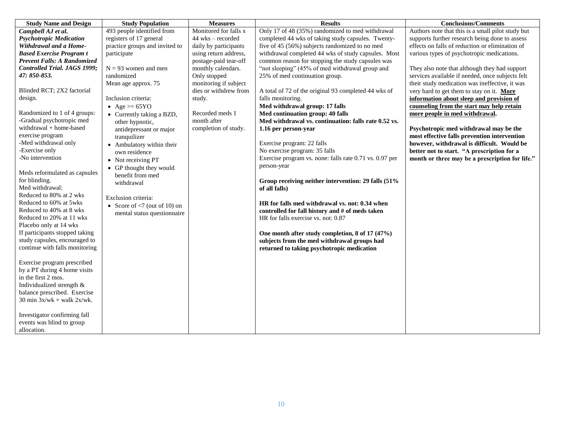| <b>Study Name and Design</b>    | <b>Study Population</b>          | <b>Measures</b>       | <b>Results</b>                                          | <b>Conclusions/Comments</b>                       |
|---------------------------------|----------------------------------|-----------------------|---------------------------------------------------------|---------------------------------------------------|
| Campbell AJ et al.              | 493 people identified from       | Monitored for falls x | Only 17 of 48 (35%) randomized to med withdrawal        | Authors note that this is a small pilot study but |
| <b>Psychotropic Medication</b>  | registers of 17 general          | 44 wks - recorded     | completed 44 wks of taking study capsules. Twenty-      | supports further research being done to assess    |
| Withdrawal and a Home-          | practice groups and invited to   | daily by participants | five of 45 (56%) subjects randomized to no med          | effects on falls of reduction or elimination of   |
| <b>Based Exercise Program t</b> | participate                      | using return address, | withdrawal completed 44 wks of study capsules. Most     | various types of psychotropic medications.        |
| Prevent Falls: A Randomized     |                                  | postage-paid tear-off | common reason for stopping the study capsules was       |                                                   |
| Controlled Trial. JAGS 1999;    | $N = 93$ women and men           | monthly calendars.    | "not sleeping" (45% of med withdrawal group and         | They also note that although they had support     |
| 47: 850-853.                    | randomized                       | Only stopped          | 25% of med continuation group.                          | services available if needed, once subjects felt  |
|                                 | Mean age approx. 75              | monitoring if subject |                                                         | their study medication was ineffective, it was    |
| Blinded RCT; 2X2 factorial      |                                  | dies or withdrew from | A total of 72 of the original 93 completed 44 wks of    | very hard to get them to stay on it. More         |
| design.                         | Inclusion criteria:              | study.                | falls monitoring.                                       | information about sleep and provision of          |
|                                 | • Age $>= 65 \text{YO}$          |                       | Med withdrawal group: 17 falls                          | counseling from the start may help retain         |
| Randomized to 1 of 4 groups:    | • Currently taking a BZD,        | Recorded meds 1       | Med continuation group: 40 falls                        | more people in med withdrawal.                    |
| -Gradual psychotropic med       | other hypnotic,                  | month after           | Med withdrawal vs. continuation: falls rate 0.52 vs.    |                                                   |
| withdrawal + home-based         | antidepressant or major          | completion of study.  | 1.16 per person-year                                    | Psychotropic med withdrawal may be the            |
| exercise program                | tranquilizer                     |                       |                                                         | most effective falls prevention intervention      |
| -Med withdrawal only            | • Ambulatory within their        |                       | Exercise program: 22 falls                              | however, withdrawal is difficult. Would be        |
| -Exercise only                  | own residence                    |                       | No exercise program: 35 falls                           | better not to start. "A prescription for a        |
| -No intervention                | • Not receiving PT               |                       | Exercise program vs. none: falls rate 0.71 vs. 0.97 per | month or three may be a prescription for life."   |
|                                 | • GP thought they would          |                       | person-year                                             |                                                   |
| Meds reformulated as capsules   | benefit from med                 |                       |                                                         |                                                   |
| for blinding.                   | withdrawal                       |                       | Group receiving neither intervention: 29 falls (51%     |                                                   |
| Med withdrawal:                 |                                  |                       | of all falls)                                           |                                                   |
| Reduced to 80% at 2 wks         | Exclusion criteria:              |                       |                                                         |                                                   |
| Reduced to 60% at 5wks          | • Score of $\leq$ (out of 10) on |                       | HR for falls med withdrawal vs. not: 0.34 when          |                                                   |
| Reduced to 40% at 8 wks         | mental status questionnaire      |                       | controlled for fall history and # of meds taken         |                                                   |
| Reduced to 20% at 11 wks        |                                  |                       | HR for falls exercise vs. not: 0.87                     |                                                   |
| Placebo only at 14 wks          |                                  |                       |                                                         |                                                   |
| If participants stopped taking  |                                  |                       | One month after study completion, 8 of 17 (47%)         |                                                   |
| study capsules, encouraged to   |                                  |                       | subjects from the med withdrawal groups had             |                                                   |
| continue with falls monitoring  |                                  |                       | returned to taking psychotropic medication              |                                                   |
|                                 |                                  |                       |                                                         |                                                   |
| Exercise program prescribed     |                                  |                       |                                                         |                                                   |
| by a PT during 4 home visits    |                                  |                       |                                                         |                                                   |
| in the first 2 mos.             |                                  |                       |                                                         |                                                   |
| Individualized strength &       |                                  |                       |                                                         |                                                   |
| balance prescribed. Exercise    |                                  |                       |                                                         |                                                   |
| 30 min $3x/wk + walk 2x/wk$ .   |                                  |                       |                                                         |                                                   |
|                                 |                                  |                       |                                                         |                                                   |
| Investigator confirming fall    |                                  |                       |                                                         |                                                   |
| events was blind to group       |                                  |                       |                                                         |                                                   |
| allocation.                     |                                  |                       |                                                         |                                                   |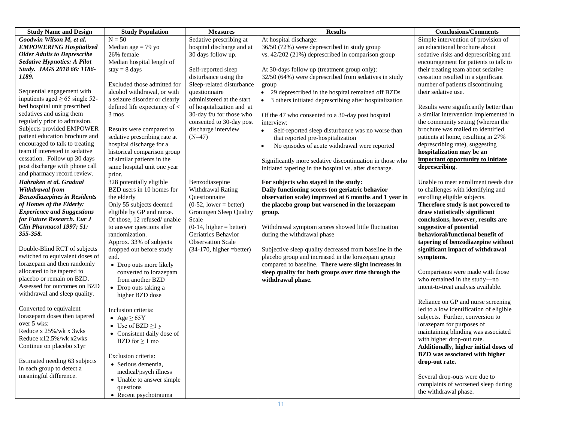| <b>Study Name and Design</b>                                                                                                                                                                                                                                                                                                                                                                                                                                                                                                                                                                                                                                                                              | <b>Study Population</b>                                                                                                                                                                                                                                                                                                                                                                                                                                                                                                                                                                                                                                             | <b>Measures</b>                                                                                                                                                                                                                                                 | <b>Results</b>                                                                                                                                                                                                                                                                                                                                                                                                                                                                                                                                                                      | <b>Conclusions/Comments</b>                                                                                                                                                                                                                                                                                                                                                                                                                                                                                                                                                                                                                                                                                                                                                                                                                                                                                        |
|-----------------------------------------------------------------------------------------------------------------------------------------------------------------------------------------------------------------------------------------------------------------------------------------------------------------------------------------------------------------------------------------------------------------------------------------------------------------------------------------------------------------------------------------------------------------------------------------------------------------------------------------------------------------------------------------------------------|---------------------------------------------------------------------------------------------------------------------------------------------------------------------------------------------------------------------------------------------------------------------------------------------------------------------------------------------------------------------------------------------------------------------------------------------------------------------------------------------------------------------------------------------------------------------------------------------------------------------------------------------------------------------|-----------------------------------------------------------------------------------------------------------------------------------------------------------------------------------------------------------------------------------------------------------------|-------------------------------------------------------------------------------------------------------------------------------------------------------------------------------------------------------------------------------------------------------------------------------------------------------------------------------------------------------------------------------------------------------------------------------------------------------------------------------------------------------------------------------------------------------------------------------------|--------------------------------------------------------------------------------------------------------------------------------------------------------------------------------------------------------------------------------------------------------------------------------------------------------------------------------------------------------------------------------------------------------------------------------------------------------------------------------------------------------------------------------------------------------------------------------------------------------------------------------------------------------------------------------------------------------------------------------------------------------------------------------------------------------------------------------------------------------------------------------------------------------------------|
| Goodwin Wilson M, et al.<br><b>EMPOWERING Hospitalized</b><br><b>Older Adults to Deprescribe</b><br><b>Sedative Hypnotics: A Pilot</b>                                                                                                                                                                                                                                                                                                                                                                                                                                                                                                                                                                    | $N = 50$<br>Median age $= 79$ yo<br>26% female<br>Median hospital length of                                                                                                                                                                                                                                                                                                                                                                                                                                                                                                                                                                                         | Sedative prescribing at<br>hospital discharge and at<br>30 days follow up.                                                                                                                                                                                      | At hospital discharge:<br>36/50 (72%) were deprescribed in study group<br>vs. 42/202 (21%) deprescribed in comparison group                                                                                                                                                                                                                                                                                                                                                                                                                                                         | Simple intervention of provision of<br>an educational brochure about<br>sedative risks and deprescribing and<br>encouragement for patients to talk to                                                                                                                                                                                                                                                                                                                                                                                                                                                                                                                                                                                                                                                                                                                                                              |
| Study. JAGS 2018 66: 1186-<br>1189.<br>Sequential engagement with<br>inpatients aged $\geq 65$ single 52-<br>bed hospital unit prescribed<br>sedatives and using them<br>regularly prior to admission.<br>Subjects provided EMPOWER<br>patient education brochure and<br>encouraged to talk to treating<br>team if interested in sedative<br>cessation. Follow up 30 days<br>post discharge with phone call<br>and pharmacy record review.                                                                                                                                                                                                                                                                | $stay = 8 days$<br>Excluded those admitted for<br>alcohol withdrawal, or with<br>a seizure disorder or clearly<br>defined life expectancy of <<br>3 mos<br>Results were compared to<br>sedative prescribing rate at<br>hospital discharge for a<br>historical comparison group<br>of similar patients in the<br>same hospital unit one year<br>prior.                                                                                                                                                                                                                                                                                                               | Self-reported sleep<br>disturbance using the<br>Sleep-related disturbance<br>questionnaire<br>administered at the start<br>of hospitalization and at<br>30-day f/u for those who<br>consented to 30-day post<br>discharge interview<br>$(N=47)$                 | At 30-days follow up (treatment group only):<br>32/50 (64%) were deprescribed from sedatives in study<br>group<br>• 29 deprescribed in the hospital remained off BZDs<br>• 3 others initiated deprescribing after hospitalization<br>Of the 47 who consented to a 30-day post hospital<br>interview:<br>Self-reported sleep disturbance was no worse than<br>$\bullet$<br>that reported pre-hospitalization<br>No episodes of acute withdrawal were reported<br>Significantly more sedative discontinuation in those who<br>initiated tapering in the hospital vs. after discharge. | their treating team about sedative<br>cessation resulted in a significant<br>number of patients discontinuing<br>their sedative use.<br>Results were significantly better than<br>a similar intervention implemented in<br>the community setting (wherein the<br>brochure was mailed to identified<br>patients at home, resulting in 27%<br>deprescribing rate), suggesting<br>hospitalization may be an<br>important opportunity to initiate<br>deprescribing.                                                                                                                                                                                                                                                                                                                                                                                                                                                    |
| Habraken et al. Gradual<br>Withdrawal from<br><b>Benzodiazepines in Residents</b><br>of Homes of the Elderly:<br><b>Experience and Suggestions</b><br>for Future Research. Eur J<br>Clin Pharmacol 1997; 51:<br>355-358.<br>Double-Blind RCT of subjects<br>switched to equivalent doses of<br>lorazepam and then randomly<br>allocated to be tapered to<br>placebo or remain on BZD.<br>Assessed for outcomes on BZD<br>withdrawal and sleep quality.<br>Converted to equivalent<br>lorazepam doses then tapered<br>over 5 wks:<br>Reduce x 25%/wk x 3wks<br>Reduce x12.5%/wk x2wks<br>Continue on placebo x lyr<br>Estimated needing 63 subjects<br>in each group to detect a<br>meaningful difference. | 328 potentially eligible<br>BZD users in 10 homes for<br>the elderly<br>Only 55 subjects deemed<br>eligible by GP and nurse.<br>Of those, 12 refused/ unable<br>to answer questions after<br>randomization.<br>Approx. 33% of subjects<br>dropped out before study<br>end.<br>• Drop outs more likely<br>converted to lorazepam<br>from another BZD<br>• Drop outs taking a<br>higher BZD dose<br>Inclusion criteria:<br>• Age $\geq 65Y$<br>• Use of BZD $\geq$ 1 y<br>• Consistent daily dose of<br>BZD for $\geq 1$ mo<br>Exclusion criteria:<br>• Serious dementia,<br>medical/psych illness<br>• Unable to answer simple<br>questions<br>• Recent psychotrauma | Benzodiazepine<br>Withdrawal Rating<br>Questionnaire<br>$(0-52, lower = better)$<br>Groningen Sleep Quality<br>Scale<br>$(0-14, \text{higher} = \text{better})$<br>Geriatrics Behavior<br><b>Observation Scale</b><br>$(34-170, \text{higher} = \text{better})$ | For subjects who stayed in the study:<br>Daily functioning scores (on geriatric behavior<br>observation scale) improved at 6 months and 1 year in<br>the placebo group but worsened in the lorazepam<br>group.<br>Withdrawal symptom scores showed little fluctuation<br>during the withdrawal phase<br>Subjective sleep quality decreased from baseline in the<br>placebo group and increased in the lorazepam group<br>compared to baseline. There were slight increases in<br>sleep quality for both groups over time through the<br>withdrawal phase.                           | Unable to meet enrollment needs due<br>to challenges with identifying and<br>enrolling eligible subjects.<br>Therefore study is not powered to<br>draw statistically significant<br>conclusions, however, results are<br>suggestive of potential<br>behavioral/functional benefit of<br>tapering of benzodiazepine without<br>significant impact of withdrawal<br>symptoms.<br>Comparisons were made with those<br>who remained in the study-no<br>intent-to-treat analysis available.<br>Reliance on GP and nurse screening<br>led to a low identification of eligible<br>subjects. Further, conversion to<br>lorazepam for purposes of<br>maintaining blinding was associated<br>with higher drop-out rate.<br>Additionally, higher initial doses of<br><b>BZD</b> was associated with higher<br>drop-out rate.<br>Several drop-outs were due to<br>complaints of worsened sleep during<br>the withdrawal phase. |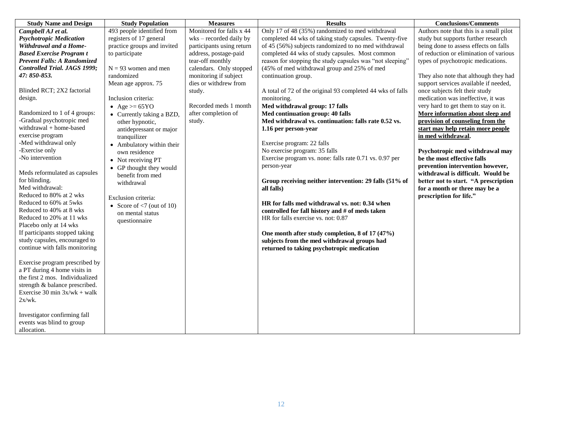| <b>Study Name and Design</b>                                                                                                                                                                                                                                                                                                                                                                                                                                                                                                                                             | <b>Study Population</b>                                                                                                                                                                                                                                                                                                                                                                                                                                                                                                  | <b>Measures</b>                                                                                                                                                                                                                                                                   | <b>Results</b>                                                                                                                                                                                                                                                                                                                                                                                                                                                                                                                                                                                                                                                                                                                                                                                                                                                                                                    | <b>Conclusions/Comments</b>                                                                                                                                                                                                                                                                                                                                                                                                                                                                                                                                                                                                                                                                                                                                                                 |
|--------------------------------------------------------------------------------------------------------------------------------------------------------------------------------------------------------------------------------------------------------------------------------------------------------------------------------------------------------------------------------------------------------------------------------------------------------------------------------------------------------------------------------------------------------------------------|--------------------------------------------------------------------------------------------------------------------------------------------------------------------------------------------------------------------------------------------------------------------------------------------------------------------------------------------------------------------------------------------------------------------------------------------------------------------------------------------------------------------------|-----------------------------------------------------------------------------------------------------------------------------------------------------------------------------------------------------------------------------------------------------------------------------------|-------------------------------------------------------------------------------------------------------------------------------------------------------------------------------------------------------------------------------------------------------------------------------------------------------------------------------------------------------------------------------------------------------------------------------------------------------------------------------------------------------------------------------------------------------------------------------------------------------------------------------------------------------------------------------------------------------------------------------------------------------------------------------------------------------------------------------------------------------------------------------------------------------------------|---------------------------------------------------------------------------------------------------------------------------------------------------------------------------------------------------------------------------------------------------------------------------------------------------------------------------------------------------------------------------------------------------------------------------------------------------------------------------------------------------------------------------------------------------------------------------------------------------------------------------------------------------------------------------------------------------------------------------------------------------------------------------------------------|
| Campbell AJ et al.<br><b>Psychotropic Medication</b><br>Withdrawal and a Home-<br><b>Based Exercise Program t</b><br>Prevent Falls: A Randomized<br>Controlled Trial. JAGS 1999;<br>47: 850-853.<br>Blinded RCT; 2X2 factorial<br>design.<br>Randomized to 1 of 4 groups:<br>-Gradual psychotropic med<br>withdrawal + home-based<br>exercise program<br>-Med withdrawal only<br>-Exercise only<br>-No intervention<br>Meds reformulated as capsules<br>for blinding.<br>Med withdrawal:<br>Reduced to 80% at 2 wks<br>Reduced to 60% at 5wks<br>Reduced to 40% at 8 wks | 493 people identified from<br>registers of 17 general<br>practice groups and invited<br>to participate<br>$N = 93$ women and men<br>randomized<br>Mean age approx. 75<br>Inclusion criteria:<br>• Age $>= 65 \text{YO}$<br>• Currently taking a BZD,<br>other hypnotic,<br>antidepressant or major<br>tranquilizer<br>• Ambulatory within their<br>own residence<br>• Not receiving PT<br>• GP thought they would<br>benefit from med<br>withdrawal<br>Exclusion criteria:<br>• Score of $\langle 7 \rangle$ (out of 10) | Monitored for falls x 44<br>$w$ ks – recorded daily by<br>participants using return<br>address, postage-paid<br>tear-off monthly<br>calendars. Only stopped<br>monitoring if subject<br>dies or withdrew from<br>study.<br>Recorded meds 1 month<br>after completion of<br>study. | Only 17 of 48 (35%) randomized to med withdrawal<br>completed 44 wks of taking study capsules. Twenty-five<br>of 45 (56%) subjects randomized to no med withdrawal<br>completed 44 wks of study capsules. Most common<br>reason for stopping the study capsules was "not sleeping"<br>(45% of med withdrawal group and 25% of med<br>continuation group.<br>A total of 72 of the original 93 completed 44 wks of falls<br>monitoring.<br>Med withdrawal group: 17 falls<br>Med continuation group: 40 falls<br>Med withdrawal vs. continuation: falls rate 0.52 vs.<br>1.16 per person-year<br>Exercise program: 22 falls<br>No exercise program: 35 falls<br>Exercise program vs. none: falls rate 0.71 vs. 0.97 per<br>person-year<br>Group receiving neither intervention: 29 falls (51% of<br>all falls)<br>HR for falls med withdrawal vs. not: 0.34 when<br>controlled for fall history and # of meds taken | Authors note that this is a small pilot<br>study but supports further research<br>being done to assess effects on falls<br>of reduction or elimination of various<br>types of psychotropic medications.<br>They also note that although they had<br>support services available if needed,<br>once subjects felt their study<br>medication was ineffective, it was<br>very hard to get them to stay on it.<br>More information about sleep and<br>provision of counseling from the<br>start may help retain more people<br>in med withdrawal.<br>Psychotropic med withdrawal may<br>be the most effective falls<br>prevention intervention however,<br>withdrawal is difficult. Would be<br>better not to start. "A prescription<br>for a month or three may be a<br>prescription for life." |
| Reduced to 20% at 11 wks<br>Placebo only at 14 wks<br>If participants stopped taking<br>study capsules, encouraged to<br>continue with falls monitoring<br>Exercise program prescribed by<br>a PT during 4 home visits in<br>the first 2 mos. Individualized<br>strength & balance prescribed.<br>Exercise 30 min $3x/wk + walk$                                                                                                                                                                                                                                         | on mental status<br>questionnaire                                                                                                                                                                                                                                                                                                                                                                                                                                                                                        |                                                                                                                                                                                                                                                                                   | HR for falls exercise vs. not: 0.87<br>One month after study completion, 8 of 17 (47%)<br>subjects from the med withdrawal groups had<br>returned to taking psychotropic medication                                                                                                                                                                                                                                                                                                                                                                                                                                                                                                                                                                                                                                                                                                                               |                                                                                                                                                                                                                                                                                                                                                                                                                                                                                                                                                                                                                                                                                                                                                                                             |
| $2x/wk$ .<br>Investigator confirming fall<br>events was blind to group<br>allocation.                                                                                                                                                                                                                                                                                                                                                                                                                                                                                    |                                                                                                                                                                                                                                                                                                                                                                                                                                                                                                                          |                                                                                                                                                                                                                                                                                   |                                                                                                                                                                                                                                                                                                                                                                                                                                                                                                                                                                                                                                                                                                                                                                                                                                                                                                                   |                                                                                                                                                                                                                                                                                                                                                                                                                                                                                                                                                                                                                                                                                                                                                                                             |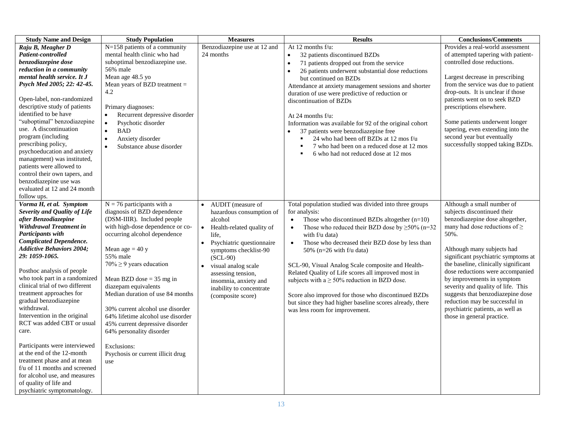| <b>Study Name and Design</b>                                                                                                                                                                                                                                                                                                                                                                                                                                                                                                                                                                                                                                                                                    | <b>Study Population</b>                                                                                                                                                                                                                                                                                                                                                                                                                                                                                                     | <b>Measures</b>                                                                                                                                                                                                                                                                                        | <b>Results</b>                                                                                                                                                                                                                                                                                                                                                                                                                                                                                                                                                                                                                                       | <b>Conclusions/Comments</b>                                                                                                                                                                                                                                                                                                                                                                                                                                                                              |
|-----------------------------------------------------------------------------------------------------------------------------------------------------------------------------------------------------------------------------------------------------------------------------------------------------------------------------------------------------------------------------------------------------------------------------------------------------------------------------------------------------------------------------------------------------------------------------------------------------------------------------------------------------------------------------------------------------------------|-----------------------------------------------------------------------------------------------------------------------------------------------------------------------------------------------------------------------------------------------------------------------------------------------------------------------------------------------------------------------------------------------------------------------------------------------------------------------------------------------------------------------------|--------------------------------------------------------------------------------------------------------------------------------------------------------------------------------------------------------------------------------------------------------------------------------------------------------|------------------------------------------------------------------------------------------------------------------------------------------------------------------------------------------------------------------------------------------------------------------------------------------------------------------------------------------------------------------------------------------------------------------------------------------------------------------------------------------------------------------------------------------------------------------------------------------------------------------------------------------------------|----------------------------------------------------------------------------------------------------------------------------------------------------------------------------------------------------------------------------------------------------------------------------------------------------------------------------------------------------------------------------------------------------------------------------------------------------------------------------------------------------------|
| Raju B, Meagher D<br>Patient-controlled                                                                                                                                                                                                                                                                                                                                                                                                                                                                                                                                                                                                                                                                         | N=158 patients of a community<br>mental health clinic who had                                                                                                                                                                                                                                                                                                                                                                                                                                                               | Benzodiazepine use at 12 and<br>24 months                                                                                                                                                                                                                                                              | At 12 months f/u:<br>32 patients discontinued BZDs                                                                                                                                                                                                                                                                                                                                                                                                                                                                                                                                                                                                   | Provides a real-world assessment<br>of attempted tapering with patient-                                                                                                                                                                                                                                                                                                                                                                                                                                  |
| benzodiazepine dose                                                                                                                                                                                                                                                                                                                                                                                                                                                                                                                                                                                                                                                                                             | suboptimal benzodiazepine use.                                                                                                                                                                                                                                                                                                                                                                                                                                                                                              |                                                                                                                                                                                                                                                                                                        | 71 patients dropped out from the service                                                                                                                                                                                                                                                                                                                                                                                                                                                                                                                                                                                                             | controlled dose reductions.                                                                                                                                                                                                                                                                                                                                                                                                                                                                              |
| reduction in a community<br>mental health service. It J<br>Psych Med 2005; 22: 42-45.<br>Open-label, non-randomized<br>descriptive study of patients<br>identified to be have<br>"suboptimal" benzodiazepine<br>use. A discontinuation<br>program (including<br>prescribing policy,<br>psychoeducation and anxiety<br>management) was instituted,<br>patients were allowed to<br>control their own tapers, and<br>benzodiazepine use was<br>evaluated at 12 and 24 month                                                                                                                                                                                                                                        | 56% male<br>Mean age 48.5 yo<br>Mean years of BZD treatment $=$<br>4.2<br>Primary diagnoses:<br>Recurrent depressive disorder<br>$\bullet$<br>Psychotic disorder<br><b>BAD</b><br>$\bullet$<br>Anxiety disorder<br>Substance abuse disorder<br>$\bullet$                                                                                                                                                                                                                                                                    |                                                                                                                                                                                                                                                                                                        | 26 patients underwent substantial dose reductions<br>$\bullet$<br>but continued on BZDs<br>Attendance at anxiety management sessions and shorter<br>duration of use were predictive of reduction or<br>discontinuation of BZDs<br>At 24 months f/u:<br>Information was available for 92 of the original cohort<br>37 patients were benzodiazepine free<br>24 who had been off BZDs at 12 mos f/u<br>7 who had been on a reduced dose at 12 mos<br>6 who had not reduced dose at 12 mos                                                                                                                                                               | Largest decrease in prescribing<br>from the service was due to patient<br>drop-outs. It is unclear if those<br>patients went on to seek BZD<br>prescriptions elsewhere.<br>Some patients underwent longer<br>tapering, even extending into the<br>second year but eventually<br>successfully stopped taking BZDs.                                                                                                                                                                                        |
| follow ups.<br>Vorma H, et al. Symptom<br>Severity and Quality of Life<br>after Benzodiazepine<br>Withdrawal Treatment in<br>Participants with<br><b>Complicated Dependence.</b><br><b>Addictive Behaviors 2004;</b><br>29: 1059-1065.<br>Posthoc analysis of people<br>who took part in a randomized<br>clinical trial of two different<br>treatment approaches for<br>gradual benzodiazepine<br>withdrawal.<br>Intervention in the original<br>RCT was added CBT or usual<br>care.<br>Participants were interviewed<br>at the end of the 12-month<br>treatment phase and at mean<br>$f/u$ of 11 months and screened<br>for alcohol use, and measures<br>of quality of life and<br>psychiatric symptomatology. | $N = 76$ participants with a<br>diagnosis of BZD dependence<br>(DSM-IIIR). Included people<br>with high-dose dependence or co-<br>occurring alcohol dependence<br>Mean age = $40y$<br>55% male<br>$70\% \ge 9$ years education<br>Mean BZD dose $=$ 35 mg in<br>diazepam equivalents<br>Median duration of use 84 months<br>30% current alcohol use disorder<br>64% lifetime alcohol use disorder<br>45% current depressive disorder<br>64% personality disorder<br>Exclusions:<br>Psychosis or current illicit drug<br>use | AUDIT (measure of<br>hazardous consumption of<br>alcohol<br>Health-related quality of<br>$\bullet$<br>life,<br>Psychiatric questionnaire<br>symptoms checklist-90<br>$(SCL-90)$<br>visual analog scale<br>assessing tension,<br>insomnia, anxiety and<br>inability to concentrate<br>(composite score) | Total population studied was divided into three groups<br>for analysis:<br>Those who discontinued BZDs altogether $(n=10)$<br>$\bullet$<br>Those who reduced their BZD dose by $\geq$ 50% (n=32)<br>$\bullet$<br>with f/u data)<br>Those who decreased their BZD dose by less than<br>$\bullet$<br>50% ( $n=26$ with f/u data)<br>SCL-90, Visual Analog Scale composite and Health-<br>Related Quality of Life scores all improved most in<br>subjects with $a \ge 50\%$ reduction in BZD dose.<br>Score also improved for those who discontinued BZDs<br>but since they had higher baseline scores already, there<br>was less room for improvement. | Although a small number of<br>subjects discontinued their<br>benzodiazepine dose altogether,<br>many had dose reductions of $\geq$<br>50%.<br>Although many subjects had<br>significant psychiatric symptoms at<br>the baseline, clinically significant<br>dose reductions were accompanied<br>by improvements in symptom<br>severity and quality of life. This<br>suggests that benzodiazepine dose<br>reduction may be successful in<br>psychiatric patients, as well as<br>those in general practice. |